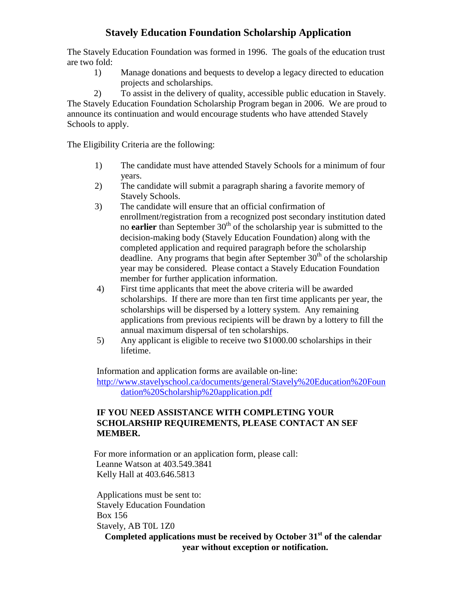# **Stavely Education Foundation Scholarship Application**

The Stavely Education Foundation was formed in 1996. The goals of the education trust are two fold:

1) Manage donations and bequests to develop a legacy directed to education projects and scholarships.

2) To assist in the delivery of quality, accessible public education in Stavely. The Stavely Education Foundation Scholarship Program began in 2006. We are proud to announce its continuation and would encourage students who have attended Stavely Schools to apply.

The Eligibility Criteria are the following:

- 1) The candidate must have attended Stavely Schools for a minimum of four years.
- 2) The candidate will submit a paragraph sharing a favorite memory of Stavely Schools.
- 3) The candidate will ensure that an official confirmation of enrollment/registration from a recognized post secondary institution dated no **earlier** than September 30<sup>th</sup> of the scholarship year is submitted to the decision-making body (Stavely Education Foundation) along with the completed application and required paragraph before the scholarship deadline. Any programs that begin after September  $30<sup>th</sup>$  of the scholarship year may be considered. Please contact a Stavely Education Foundation member for further application information.
- 4) First time applicants that meet the above criteria will be awarded scholarships. If there are more than ten first time applicants per year, the scholarships will be dispersed by a lottery system. Any remaining applications from previous recipients will be drawn by a lottery to fill the annual maximum dispersal of ten scholarships.
- 5) Any applicant is eligible to receive two \$1000.00 scholarships in their lifetime.

Information and application forms are available on-line: [http://www.stavelyschool.ca/documents/general/Stavely%20Education%20Foun](http://www.stavelyschool.ca/documents/general/Stavely%20Education%20Foundation%20Scholarship%20application.pdf) [dation%20Scholarship%20application.pdf](http://www.stavelyschool.ca/documents/general/Stavely%20Education%20Foundation%20Scholarship%20application.pdf)

#### **IF YOU NEED ASSISTANCE WITH COMPLETING YOUR SCHOLARSHIP REQUIREMENTS, PLEASE CONTACT AN SEF MEMBER.**

For more information or an application form, please call: Leanne Watson at 403.549.3841 Kelly Hall at 403.646.5813

Applications must be sent to: Stavely Education Foundation Box 156 Stavely, AB T0L 1Z0

**Completed applications must be received by October 31st of the calendar year without exception or notification.**